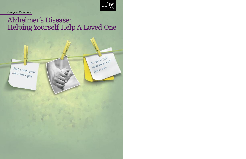Allar

*Caregiver Workbook*

# Alzheimer's Disease: Helping Yourself Help A Loved One

Start a health journal<br>Join a support group

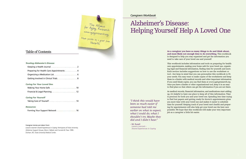**As a caregiver you have so many things to do and think about, and most likely not enough time to do everything.** This workbook is designed to help you stay organized and get the information you need to take care of your loved one and yourself.

This workbook includes information and tools on preparing for health care appointments, making your home safe for your loved one, organizing legal and financial information, finding time for yourself, and more. Each section includes suggestions on how to use the worksheet or tool—but keep in mind that you can personalize this workbook to fit your needs.You may want to make copies of the worksheets and keep them in a binder with medical records and other important information. If you need blank copies, you can find them at *www.agingresearch.org*. Once you have a binder or other organizational tool, keep it in an easyto-find place so that others can get the information if you are not there.

As medical records, financial information, and medications start adding up, it's helpful to have one place to keep all of this information.Time is precious for both you and your loved one. Spending less time trying to find lost papers and getting ready for doctor's appointments gives you more time with your loved one and makes it easier to schedule time for yourself. Keeping track of your loved one's health and preparing for appointments will also help get your loved one the best care possible. We hope that this workbook will make your very important job as a caregiver a little bit easier.

# Alzheimer's Disease: Helping Yourself Help A Loved One

| Preparing for Health Care Appointments 4 |  |
|------------------------------------------|--|
| Organizing a Medication List 6           |  |
| Getting Involved in Clinical Trials. 8   |  |
| <b>Caring For Your Loved One</b>         |  |
|                                          |  |

### *Caregivers Workbook*

For The Alliance<br>for Aging Research

www.agingresearch.org

### Table of Contents

### *Treating Alzhemier's Disease*

| <b>TVIORITY TOUT TIOTING SUIG</b> TELL FELL FELL FELL FELL TO |  |  |  |  |  |  |  |  |  |
|---------------------------------------------------------------|--|--|--|--|--|--|--|--|--|
| Financial & Legal Planning 12                                 |  |  |  |  |  |  |  |  |  |

### *Caring For Yourself*

|--|--|--|--|--|--|--|--|--|--|--|--|--|--|--|--|--|--|--|--|--|

### *Resources*

| Forming Your Support Network 16 |  |  |
|---------------------------------|--|--|
|---------------------------------|--|--|

### Caregiver stories are taken from:

*Lessons Learned: Shared Experiences in Coping.* Participants of Duke University Alzheimer Support Groups, Edna L. Ballard, and Cornelia M. Poer. 1999. Durham, NC: Duke University Medical Center.

*"I think this would have been so much easier if someone had told me earlier on what to expect, what I could do, what I shouldn't try. Maybe they did and I didn't hear."*

– Mr. Russell *Lessons Learned— Shared Experiences in Coping*

Made possible by <sup>a</sup> grant from Novartis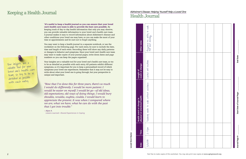3/ 6/08  $2:15$ pm Suddenly unable to walk with out assistance Lasted until bedtim bedtime Regained<br>the next his ability to m e next o rning **Date Tim e He alth e v e nt or ch a n g e in ph ysical or e** <u>بع</u> **otio n al h e alth Le n gth of e v e nt or ch a n g e Oth er n otes Lo ved** Alzheimer's Disease: Helping Yourself Help a Loved One<br>
Health Journal<br>
The although the property of the property of the property of the particle of the particle of the particle of<br>
Length of the particle of the particle o

*Feel free to make copies of this worksheet. You may also print new copies at www.agingresearch.org.* 3

walk

|  |  |  | <b>End Date:</b>            |
|--|--|--|-----------------------------|
|  |  |  | Start Date of Journal Page: |
|  |  |  | Journal Page #:             |

Your insights are <sup>a</sup> valuable tool for your loved one's health care team, so try to be as detailed as possible with each entry.

## <span id="page-2-0"></span>Keeping a Health Journal

### **`It's useful to keep a health journal so you can ensure that your loved one's health care team is able to provide the best care possible.** By

keeping track of day-to-day health information that only you may observe, you can provide valuable information to your loved one's health care team. A journal makes it easy to record information about Alzheimer's disease and other conditions your loved one may have, so you can make the most of your time at appointments and be sure not to forget anything.

You may want to keep a health journal in a separate notebook, or use the worksheet on the following page. For each entry, be sure to include the date, time and length of each event. Recording these will show any daily patterns or changes in behavior and symptoms. Since your loved one's health care team may want to make copies of your journal pages, write down dates and page numbers so you can keep the pages organized.

Your insights are a valuable tool for your loved one's health care team, so try to be as detailed as possible with each entry. All patients exhibit different symptoms, so it's important for you to keep a personalized record of which symptoms your loved one experiences. Remember that it may not be easy to write about what your loved one is going through, but your perspective is unique and important.

*"Now that I've done this for three years, there's so much I would do differently. I would be more patient. I would be easier on myself. I would let go—of old ideas, old expectations, old ways of doing things. I would bury shoulda, woulda, oughta, coulda. I would learn to appreciate the present. It was when I compared where we are, what we have, what he can do with the past that I got into trouble."*

*– Alyce A. Lessons Learned—Shared Experiences in Coping*

# Health Journal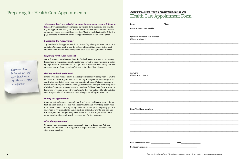|                                                              | Alzheimer's Disease: Helping Yourself Help a Loved One<br><b>Health Care Appointment Form</b> |  |  |
|--------------------------------------------------------------|-----------------------------------------------------------------------------------------------|--|--|
|                                                              |                                                                                               |  |  |
|                                                              |                                                                                               |  |  |
| Questions for health care provider:<br>(fill out in advance) |                                                                                               |  |  |
|                                                              |                                                                                               |  |  |
|                                                              |                                                                                               |  |  |
|                                                              |                                                                                               |  |  |
|                                                              |                                                                                               |  |  |
| <b>Answers:</b><br>(fill out at appointment)                 |                                                                                               |  |  |
|                                                              |                                                                                               |  |  |
|                                                              |                                                                                               |  |  |
|                                                              |                                                                                               |  |  |
|                                                              |                                                                                               |  |  |
|                                                              |                                                                                               |  |  |
|                                                              |                                                                                               |  |  |
|                                                              |                                                                                               |  |  |
| <b>Notes/Additional questions:</b>                           |                                                                                               |  |  |
|                                                              |                                                                                               |  |  |
|                                                              |                                                                                               |  |  |

Write down any questions you have for the health care provider. It can be very frustrating to remember a question after you leave. Put your questions in order by importance in case there isn't enough time to ask all of them. Doing this also creates a record of your loved one's treatment and medical history.

*Feel free to make copies of this worksheet. You may also print new copies at www.agingresearch.org.*

Communication between you and your loved one's health care team is important.

# <span id="page-3-0"></span>Preparing for Health Care Appointments

### **Taking your loved one to health care appointments may become difficult at**

**times.** If you prepare for appointments by writing down questions and scheduling the appointment at a good time for your loved one, you can make sure the appointment goes as smoothly as possible. Use the worksheet on the following page to record information about the appointment so it's all in one place.

### *Scheduling the Appointment*

Try to schedule the appointment for a time of day when your loved one is calm and alert.You may want to ask the office staff what time of day is the least crowded since a lot of people may make your loved one agitated or stressed.

### *Preparing for the Appointment*

### *Getting to the Appointment*

If your loved one worries about medical appointments, you may want to wait to tell them about the appointment until the day of. Be positive and straight-forward when you do tell them—you may want to tell them it's just a checkup to reduce anxiety.Try not to show any negative emotions that you are having since Alzheimer's patients are very sensitive to others' feelings. Once there, try not to leave your loved one alone—if you anticipate that you will need to talk with the doctor separately, ask someone to come along to sit with your loved one.

### *During the Appointment*

Communication between you and your loved one's health care team is important, and you should feel like you clearly understand everything about your loved one's medical care. By taking notes and reading back anything you are uncertain of, you can clarify things such as unfamiliar words, and ask any further questions that you may have. At the end of the appointment, write down the date, time, and health care provider for the next one.

### *After the Appointment*

You may want to discuss the appointment with your loved one. Ask how he/she felt about the visit. It's good to stay positive about the doctor and visit when possible.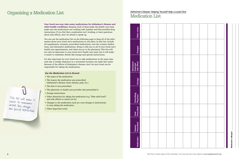### *Alzheimer's Disease: Helping Yourself Help a Loved One* Medication List

*Feel free to make copies of this worksheet. You may also print new copies at www.agingresearch.org.*

| <b>Medication</b>    | Reason<br>Prescribed | Date<br>Prescribed | Prescribing<br>Physician | Dosage | Directions/<br>Potential<br>Side Effect | Changes | Other notes |
|----------------------|----------------------|--------------------|--------------------------|--------|-----------------------------------------|---------|-------------|
|                      |                      |                    |                          |        |                                         |         |             |
|                      |                      |                    |                          |        |                                         |         |             |
|                      |                      |                    |                          |        |                                         |         |             |
|                      |                      |                    |                          |        |                                         |         |             |
|                      |                      |                    |                          |        |                                         |         |             |
|                      |                      |                    |                          |        |                                         |         |             |
|                      |                      |                    |                          |        |                                         |         |             |
|                      |                      |                    |                          |        |                                         |         |             |
|                      |                      |                    |                          |        |                                         |         |             |
|                      |                      |                    |                          |        |                                         |         |             |
|                      |                      |                    |                          |        |                                         |         |             |
| Medication allergies |                      |                    |                          |        |                                         |         |             |
|                      |                      |                    |                          |        |                                         |         |             |

details like dosage and special instructions.

\_\_\_\_\_\_\_\_\_\_\_\_\_\_\_\_\_\_\_\_\_\_\_\_\_\_\_\_\_\_\_\_\_\_\_\_\_\_\_\_\_\_\_\_\_\_\_\_\_\_\_\_\_\_\_\_\_\_\_\_\_\_\_\_\_\_\_\_\_\_\_\_\_\_\_\_\_\_\_\_\_\_\_\_\_\_\_\_\_\_\_\_\_\_\_\_\_\_\_\_\_\_\_\_\_\_\_\_\_\_\_\_\_\_\_\_\_\_\_\_\_\_\_\_\_\_\_\_\_\_\_\_\_\_\_\_\_\_\_\_\_\_\_\_

This list will make it easier to remember

## <span id="page-4-0"></span>Organizing a Medication List

**Your loved one may take many medications for Alzheimer's disease and other health conditions.** Keeping track of them helps the health care team make sure the medications are working well together and find possible drug interactions. If you feel that a medication isn't working, or have questions about side effects, don't be afraid to speak up.

You can use the medication list on the following page to keep all of the information about your loved one's medications in one place. In this list, include all supplements, vitamins, prescribed medications, over-the-counter medications, and alternative medications. Bring it with you to all of your loved one's health care appointments, and when you go to the pharmacy.This list will not only be important to your loved one's health care team, but it will make it easier to remember details like dosage and special instructions.

It's also important for your loved one to take medications at the same time each day. A weekly dispenser in a convenient location can make this easier. Because of the effects of Alzheimer's disease, don't let your loved one be responsible for taking the medications.

#### *Use the Medication List to Record:*

- The name of the medication
- The reason the medication was prescribed (Alzheimer's disease, heart disease, pain, etc.)
- The date it was prescribed
- The physician or health care provider who prescribed it
- Dosage instructions
- Other directions for taking the medication (e.g."Take with food") and side effects to watch out for
- Changes to the medication such as a new dosage or instructions to stop taking the medication
- Other important notes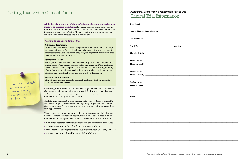### *Alzheimer's Disease: Helping Yourself Help a Loved One* Clinical Trial Information

*Feel free to make copies of this worksheet. You may also print new copies at www.agingresearch.org.*

If you haven't already, you may want to consider enrolling your loved one in a clinical trial.

| Date Found: <u>_____________________</u> |  |
|------------------------------------------|--|
|                                          |  |
|                                          |  |
|                                          |  |
|                                          |  |
|                                          |  |
|                                          |  |
|                                          |  |
|                                          |  |
|                                          |  |
|                                          |  |
| Notes:                                   |  |
|                                          |  |
|                                          |  |
|                                          |  |
|                                          |  |
|                                          |  |
|                                          |  |
|                                          |  |
|                                          |  |
|                                          |  |
|                                          |  |

# <span id="page-5-0"></span>Getting Involved in Clinical Trials

### **While there is no cure for Alzheimer's disease, there are drugs that may**

**improve or stabilize symptoms.** New drugs are also under development that offer hope for Alzheimer's patients, and clinical trials test whether these treatments are safe and effective. If you haven't already, you may want to consider enrolling your loved one in a clinical trial.

### *Reasons to Consider a Clinical Trial*

### **Advancing Treatments**

Clinical trials are needed to advance potential treatments that could help thousands of people. Even if the clinical trial does not provide the results that researchers were hoping for, they can give important information that may influence future treatments.

### **Participant Health**

Participants in clinical trials usually do slightly better than people in a similar stage of the disease who are not in the trial, even if the treatment doesn't work as well as expected.This may be because of the high quality of care that the participants receive during the studies. Participation can also help the patient feel useful and may ward off depression.

### **Access to New Treatments**

Clinical trials provide access to potential treatments that participants could not otherwise receive.

Even though there are benefits to participating in clinical trials, there could also be some risks. When doing your research, look at the pros and cons of each and be fully informed before you make any decisions. It is important that your loved one agrees to participate.

The following worksheet is a log that can help you keep track of clinical trials you find. If your loved one decides to participate, you can use the *Health Care Appointment Form* in this workbook to keep track of information from each appointment.

The resources below can help you find more information on clinical trials. Check back often because new opportunities may be added. Keep in mind that your health care providers are also an excellent source of information.

- **Alzheimer Research Forum:** *www.alzforum.org/dis/tre/drc/default.asp*
- **CISCRP:** *www.searchclinicaltrials.org* OR 1 (888) CISCRP3
- **Byrd Institute:** *www.byrdinstitute.org/clinic/trials.aspx* OR 1 (866) 700-7773
- **National Institutes of Health:** *www.clinicaltrials.gov*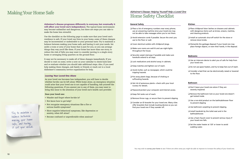Try to maintain <sup>a</sup> balance between making your home safe, and having it suit your needs.

#### **General Safety**

- ❏ Place a list of emergency numbers near every phone; use an answering machine since your loved one may not be able to take messages when you're not there.
- ❏ Avoid extension cords if possible. Secure the one's you use to the floor or wall.
- ❏ Cover electrical outlets with childproof plugs.
- ❏ Make sure rooms are well-lit and use night-lights throughout the house.
- ❏ Securely carpet stairways if possible and make sure handrails extend to all steps.
- ❏ Lock medications and alcohol away in cabinets.
- ❏ Keep matches and lighters out of reach.
- ❏ Avoid clutter, such as newspaper, which could be tripping hazards.
- ❏ Put away plastic bags, because of choking or suffocating hazards.
- ❏ Get rid of poisonous plants—check with your local nursery for details.
- ❏ Password-protect your computer and Internet access.
- ❏ Keep fish tanks out of reach.
- ❏ Remove throw rugs, or secure them to prevent slipping.
- ❏ Consider an ID bracelet for your loved one. Many cities offer bracelets that include locating devices so you can find your loved one if they wander off.

### *Alzheimer's Disease: Helping Yourself Help a Loved One* Home Safety Checklist

### **Kitchen**

- ❏ Place childproof door latches on drawers and cabinets with dangerous items such as knives, scissors, matches, and cleaning products.
- ❏ Install an automatic shut-off switch for the stove or remove stove knobs.
- ❏ Dismantle the garbage disposal if your loved one may place foreign objects, or even their hands, in the disposal.

### **Bedrooms**

- ❏ Use an intercom device to alert you of calls for help from your loved one.
- ❏ Do not use space heaters, and try to keep fans out of reach.
- ❏ Consider a bed that can be electronically raised or lowered to the floor.

### **Bathroom**

- ❏ Don't leave your loved one alone if they are severely impaired.
- ❏ Remove the bathroom lock so your loved one doesn't get locked inside.
- ❏ Use a non-skid product on the bathtub/shower floor to prevent slipping
- ❏ Use bathroom carpeting to prevent slipping.
- ❏ Install handrails by the toilet seat and in the bathtub/shower.
- ❏ Use a foam faucet cover to prevent serious injury if your loved one falls.
- ❏ Set the water heater at 120˚ or lower to avoid scalding water.

### <span id="page-6-0"></span>Making Your Home Safe

**Alzheimer's disease progresses differently in everyone, but eventually it will affect your loved one's independence.** The typical home environment may become unfamiliar and dangerous, but there are steps you can take to make the home less stressful.

Use the checklist on the following page to make sure that your loved one's residence is safe. If your loved one lives in your home, some of these changes may be inconvenient or undesirable to your personal taste.Try to maintain a balance between making your home safe, and having it suit your needs. Set aside a room or area of your home that is just for you, so you can arrange things they way you'd like them. If your home has more than one story, to reduce the risk of falls you may want to consider moving to a single-story home or arranging living quarters on the ground floor.

It may not be necessary to make all of these changes immediately. If you decide to wait on some, write a note on your calendar to check back later and re-evaluate whether you should take additional steps. Also, if you need help making these changes, ask family or friends or reach out to a local Alzheimer's community service organization for help.

#### *Leaving Your Loved One Alone*

As your loved one becomes less independent, you will have to decide whether he/she can be left alone. While home alone, an emergency situation could arise that your loved one is not capable of handling. Ask yourself the following questions. If you answer yes to any of them, you may want to bring this issue to the attention of your loved one's health care provider.

#### **Does your loved one:**

- Wander and forget where he/she is?
- Not know how to get help?
- Not recognize emergency situations like a fire or serious health symptoms?
- Show negative behavioral symptoms, like depression or anxiety, when left alone?
- Become confused or unpredictable when anxious?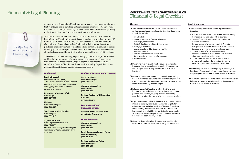### <span id="page-7-0"></span>Financial & Legal Planning

It's important for you to start this process early.

### *Alzheimer's Disease: Helping Yourself Help a Loved One* Financial & Legal Checklist

By starting the financial and legal planning process now, you can make sure that your loved one is cared for as their diseases progresses. It's important for you to start this process early, because Alzheimer's disease will gradually make it harder for your loved one to participate in planning.

Take the time to sit down with your loved one and talk about finances and legal planning. Keep in mind that this conversation is probably extremely difficult for your loved one. Not only are they discussing their own death, but also giving up financial control—which begins their gradual loss of independence. This conversation could also be hard for you, but remember that it will help you to finance your loved one's care, make well-informed decisions about health care, and honor their wishes when making end-of-life decisions.

The checklist on the following page can help you work through the financial and legal planning process. As the disease progresses, your loved one may hide or misplace these papers. Original copies of documents should be stored in a fire-proof box in your home, and/or a safety deposit box. If you need additional help, use the list of resources below:

### *Find Benefits*

### **BenefitsCheckUp®**

*www.benefitscheckup.org A free service provided by the National Council on aging that matches seniors with appropriate state and federal assistance programs.*

**Department of Veterans Affairs** *www.va.gov* (800) 827-1000

**Medicare** *www.medicare.gov* (800) 633-4227

**Social Security Administration** *www.ssa.gov* (800) 772-1213

**Together Rx Access** *www.TogetherRxAccess.com* (800) 250-2839 *Provides a free savings card for eligible individuals without prescription drug coverage.*

#### *Find Local Professional Assistance*

**Agency on Aging** *www.eldercare.gov* (800) 677-1116

**Alzheimer's Association** *www.alz.org* (800) 272-3900

**National Academy of Eldercare Law Attorneys** *www.naela.com*

*Learn More About Insurance Options*

**America's Health Insurance Plans** *www.healthdecisions.org*

### *Other Resources*

**Alzheimer's Association** *www.alz.org* (800) 272-3900

**Family Caregiver Alliance of Aging www.caregiver.org** (800) 445-8106

**National Institute on Aging www.nia.nih.gov** (800) 438-4380

#### **Finances**

- ❏ **Take inventory.** Locate and review financial documents and assess your loved one's financial situation. Documents to look for include:
- Monthly bills
- Financial statements (savings, checking, brokerage, investments)
- Debts & liabilities (credit cards, loans, etc.)
- Mortgage paperwork
- Insurance policies (life, disability, health, long-term care, etc.)
- Pension and retirement paperwork
- Social security or other benefit summaries
- Property deeds
- ❏ **Determine your role.** Will you be paying bills, handling insurance claims, managing paperwork, filing tax returns, etc.? Will you need to help finance the care of your loved one?
- ❏ **Review your financial situation.** If you will be providing financial assistance, be sure to take inventory of your own assets. If necessary, increase your insurance coverage in the event that something happens to you.
- ❏ **Estimate costs.** Put together a list of short-term and long-term costs, including: healthcare, insurance, housing, personal care supplies, ongoing medical treatments, prescriptions, adult day care services, and in-home services.
- ❏ **Explore insurance and other benefits.** In addition to health insurance benefits, your loved one may be eligible for other assistance including Medicare (if over 65), Medicaid, Social Security, and veterans' benefits. You should also learn about your eligibility for tax deductions and credits as a caregiver. Make sure you appeal if you feel insurance benefits have been unfairly denied.
- ❏ **Consult a financial advisor.** They can help you identify resources, address tax issues, and make good investments.

### **Legal Documents**

- ❏ **Take inventory.** Locate and review legal documents, including:
- *Will:* Records your loved one's wishes for distributing their possessions and estate when they die.
- *Living will:* Records your loved one's wishes for their end-of life care.
- *Durable power of attorney—estate & financial management:* Appoints someone to make financial decisions when your loved one no longer can.
- *Durable power of attorney—health care:* Appoints someone to make health care decisions when your loved one no longer can.
- *Do not resuscitate form:* Instructs health care professionals not to perform certain life-saving measures if your loved one doesn't want them.
- ❏ **Determine your role.** If you are going to handle your loved one's finances or health care decisions, make sure they designate you in their durable power of attorney.
- ❏ **Consult an Eldercare or Estate attorney.** Legal advisors can help you with estate planning and creating documents such as a will or power of attorney.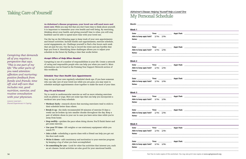### *Alzheimer's Disease: Helping Yourself Help a Loved One* My Personal Schedule

**As Alzheimer's disease progresses, your loved one will need more and**

**more care.** While you may feel that you don't have time to think about yourself, it is important to remember your own health and well-being. By exercising, thinking about your health, and giving yourself time to relax, you will stay healthier and be able to spend more time with your loved one.

Use the log on the following page to keep track of your own appointments and leisure activities. Include health care appointments, exercise schedule, social engagements, etc. Challenge yourself to find a few hours each week that are just for you. Use the log to record the event and any hurdles that kept you from it. Identifying these challenges allows you to adjust your schedule in the future by finding a time that works better.

### *Accept Offers of Help When Needed*

Caregiving is one of a number of responsibilities in your life. Create a network of caring and responsible people who can help you when you need it. More information can be found in the Forming Your Support Network section of this workbook.

### *Schedule Your Own Health Care Appointments*

Stay on top of your own regularly scheduled check-ups. If you have someone who can take care of your loved one while you are gone, you may want to schedule multiple appointments close together to make the most of your time.

### *Stay Fit and Relaxed*

Try to work in cardiovascular exercise as well as more relaxing exercises such as pilates or yoga. Here are some tips that can help you incorporate a workout into your busy schedule:

- **Workout Early**—research shows that morning exercisers tend to stick to their schedule better than others.
- **Break it up**—the daily recommended 30 minutes of exercise (5 days a week) can be broken up into smaller chunks throughout the day. Keep a pair of athletic shoes in your car in case you have extra time while you're away from home.
- **Step swiftly**—quicken the pace when doing chores.You'll finish faster and get some exercise.
- **Use your TV time**—lift weights or use stationary equipment while you watch TV.
- **Join a club**—scheduling a sports class with a friend can help you get out the door each week.
- **Write it down**—add consistency and motivation to your exercise program by keeping a log of what you have accomplished.
- **Do something for you**—Look for other fun activities that interest you, such as art classes. Social activities are also good for your emotional health.

| Week 1                                                  |  |
|---------------------------------------------------------|--|
|                                                         |  |
| Able to keep appt./task? $\Box$ Yes $\Box$ No           |  |
| Able to keep appt./task? $\Box$ Yes $\Box$ No           |  |
|                                                         |  |
|                                                         |  |
| Able to keep appt./task? J Yes J No                     |  |
|                                                         |  |
| Able to keep appt./task? $\Box$ Yes $\Box$ No           |  |
|                                                         |  |
|                                                         |  |
| Able to keep appt./task? $\Box$ Yes $\Box$ No           |  |
|                                                         |  |
| Able to keep appt./task? $\Box$ Yes $\Box$ No           |  |
|                                                         |  |
| Week 4                                                  |  |
|                                                         |  |
| Able to keep appt./task? $\Box$ Yes $\Box$ No           |  |
|                                                         |  |
| Able to keep appt./task? $\Box$ Yes $\Box$ No<br>Notes: |  |

\_\_\_\_\_\_\_\_\_\_\_\_\_\_\_\_\_\_\_\_\_\_\_\_\_\_\_\_\_\_\_\_\_\_\_\_\_\_\_\_\_\_\_\_\_\_\_\_\_\_\_\_\_\_\_\_\_\_\_\_\_\_\_\_\_\_\_\_\_\_\_\_\_\_\_\_\_\_\_\_\_\_\_\_\_\_\_\_\_\_\_\_\_\_\_\_\_\_\_\_\_\_\_\_\_\_\_\_\_\_\_\_\_\_\_\_\_\_\_\_\_\_\_\_\_\_

# <span id="page-8-0"></span>Taking Care of Yourself

*Caregiving that demands all of you requires a perspective that says, "This is one part of my life."The other parts of you need attention: affection and nurturing; positive feedback from family and friends; time off; and self-care that includes rest, good nutrition, exercise, and routine consultation with your physician.*

*Lessons Learned— Shared Experiences in Coping*

*Feel free to make copies of this worksheet. You may also print new copies at www.agingresearch.org.*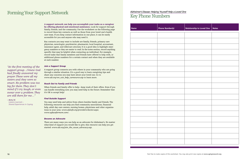## <span id="page-9-0"></span>Forming Your Support Network

**A support network can help you accomplish your tasks as a caregiver by offering physical and emotional assistance.** Look for support through family, friends, and the community. Use the worksheet on the following page to record these key contacts as well as those from your loved one's health care team. If you keep contact information in one place, it can be easily accessible for you and anyone who may need it.

Key contacts you may want to include are family, friends, primary care physician, neurologist, psychiatrist, pharmacist, local hospital, accountant, insurance agent, and eldercare attorney. It is a good idea to highlight emergency numbers so they are easier to read. In the notes section, record anything specific that may be helpful when contacting an individual. For example, record tasks that family members and friends have offered to help with, or additional phone numbers for a certain contact and when they are available at each number.

### *Join a Support Group*

A support group connects you with others in your community who are going through a similar situation. It's a good way to learn caregiving tips and share any concerns you may have about your loved one. Go to *www.alz.org/we\_can\_help\_caresource.asp* to learn more*.*

### *Reach Out to Family and Friends*

When friends and family offer to help—keep track of their offers. Even if you can handle everything now, you may need help in the future. Remember that it's OK to accept help!

### *Find Outside Support*

You may need help and advice from others besides family and friends.The following resources can help you find community associations, financial help, adult day care centers, nursing homes, physicians and other organizations in your area: *www.alzinfo.org/providers/doctor.aspx*; *www.aplaceformom.com/.*

### *Become an Advocate*

There are many ways you can help as an advocate for Alzheimer's. No matter what kind of support you would like to give, this resource can help you get started: *www.alz.org/join\_the\_cause\_advocacy.asp*.

### *Alzheimer's Disease: Helping Yourself Help a Loved One* **Key Phone Numbers**

| <b>Name</b> | <b>Phone Number(s)</b> | Relationship to Loved One | <b>Notes</b> |
|-------------|------------------------|---------------------------|--------------|
|             |                        |                           |              |
|             |                        |                           |              |
|             |                        |                           |              |
|             |                        |                           |              |
|             |                        |                           |              |
|             |                        |                           |              |
|             |                        |                           |              |
|             |                        |                           |              |
|             |                        |                           |              |
|             |                        |                           |              |
|             |                        |                           |              |
|             |                        |                           |              |
|             |                        |                           |              |
|             |                        |                           |              |
|             |                        |                           |              |
|             |                        |                           |              |
|             |                        |                           |              |
|             |                        |                           |              |
|             |                        |                           |              |
|             |                        |                           |              |

*"At the first meeting of the support group…I knew God had finally answered my prayer. These were all my sisters and they were so smart. No problem was too big for them. They don't mind if I cry, laugh, or even swear over a problem. They are still there for me…"*

*– Betty M. Lessons Learned— Shared Experiences in Coping*